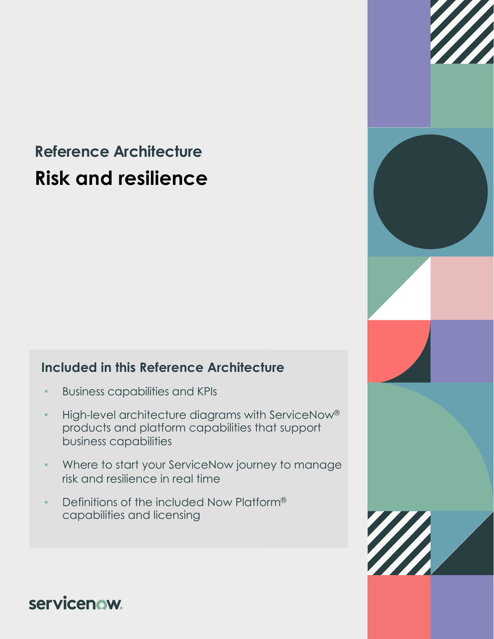# **Reference Architecture Risk and resilience**

### **Included in this Reference Architecture**

- Business capabilities and KPIs
- High-level architecture diagrams with ServiceNow® products and platform capabilities that support business capabilities
- Where to start your ServiceNow journey to manage risk and resilience in real time
- Definitions of the included Now Platform® capabilities and licensing



servicenow.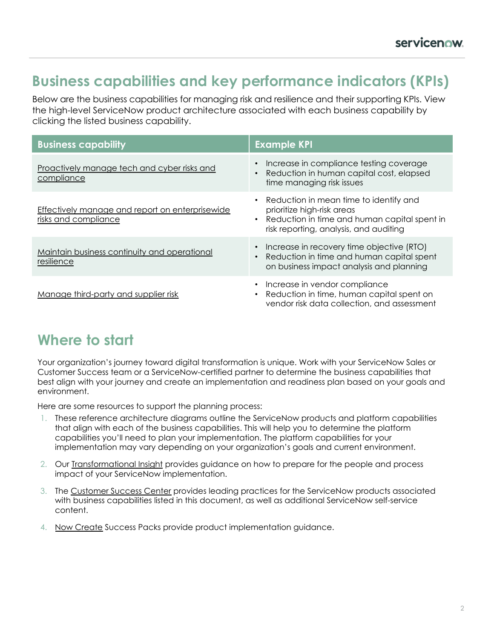### **Business capabilities and key performance indicators (KPIs)**

Below are the business capabilities for managing risk and resilience and their supporting KPIs. View the high-level ServiceNow product architecture associated with each business capability by clicking the listed business capability.

| <b>Business capability</b>                                              | <b>Example KPI</b>                                                                                                                                                            |
|-------------------------------------------------------------------------|-------------------------------------------------------------------------------------------------------------------------------------------------------------------------------|
| Proactively manage tech and cyber risks and<br>compliance               | Increase in compliance testing coverage<br>$\bullet$<br>Reduction in human capital cost, elapsed<br>$\bullet$<br>time managing risk issues                                    |
| Effectively manage and report on enterprisewide<br>risks and compliance | • Reduction in mean time to identify and<br>prioritize high-risk areas<br>Reduction in time and human capital spent in<br>$\bullet$<br>risk reporting, analysis, and auditing |
| Maintain business continuity and operational<br>resilience              | Increase in recovery time objective (RTO)<br>$\bullet$<br>Reduction in time and human capital spent<br>$\bullet$<br>on business impact analysis and planning                  |
| Manage third-party and supplier risk                                    | Increase in vendor compliance<br>$\bullet$<br>Reduction in time, human capital spent on<br>$\bullet$<br>vendor risk data collection, and assessment                           |

## **Where to start**

Your organization's journey toward digital transformation is unique. Work with your ServiceNow Sales or Customer Success team or a ServiceNow-certified partner to determine the business capabilities that best align with your journey and create an implementation and readiness plan based on your goals and environment.

Here are some resources to support the planning process:

- 1. These reference architecture diagrams outline the ServiceNow products and platform capabilities that align with each of the business capabilities. This will help you to determine the platform capabilities you'll need to plan your implementation. The platform capabilities for your implementation may vary depending on your organization's goals and current environment.
- 2. Our [Transformational Insight](https://www.servicenow.com/content/dam/servicenow-assets/public/en-us/doc-type/success/transformation/risk-and-resilience.pdf) provides guidance on how to prepare for the people and process impact of your ServiceNow implementation.
- 3. The [Customer Success Center](https://www.servicenow.com/success.html) provides leading practices for the ServiceNow products associated with business capabilities listed in this document, as well as additional ServiceNow self-service content.
- 4. [Now Create](https://nowlearning.service-now.com/nowcreate) Success Packs provide product implementation guidance.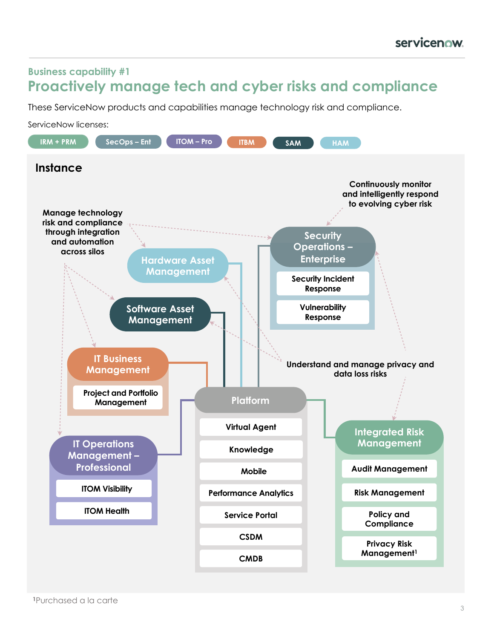#### <span id="page-2-0"></span>**Business capability #1 Proactively manage tech and cyber risks and compliance**

These ServiceNow products and capabilities manage technology risk and compliance.

ServiceNow licenses:

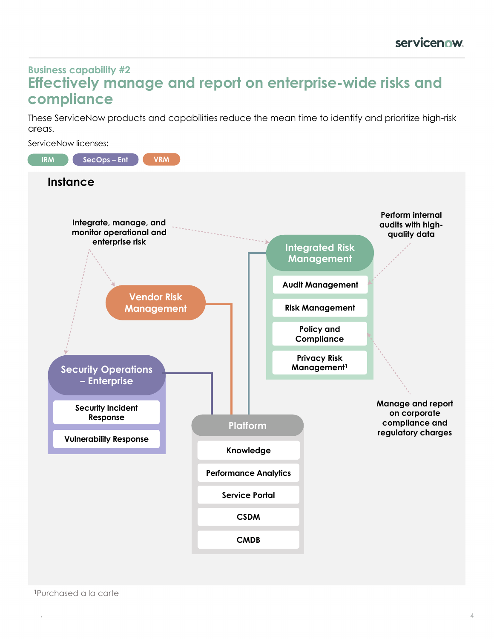#### <span id="page-3-0"></span>**Business capability #2 Effectively manage and report on enterprise-wide risks and compliance**

These ServiceNow products and capabilities reduce the mean time to identify and prioritize high-risk areas.

ServiceNow licenses:



.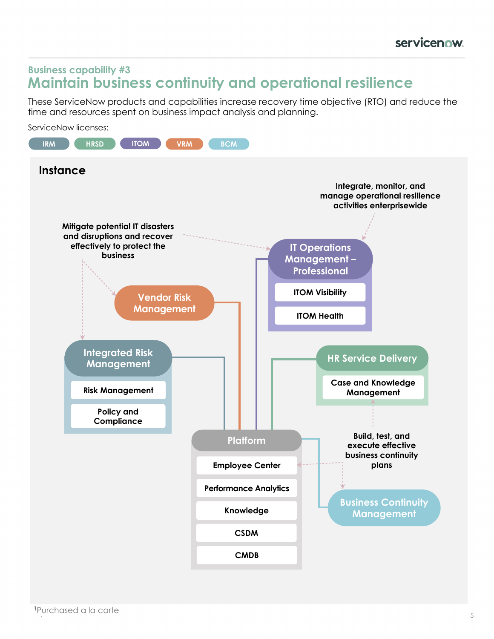#### <span id="page-4-0"></span>**Business capability #3 Maintain business continuity and operational resilience**

These ServiceNow products and capabilities increase recovery time objective (RTO) and reduce the time and resources spent on business impact analysis and planning.

ServiceNow licenses:

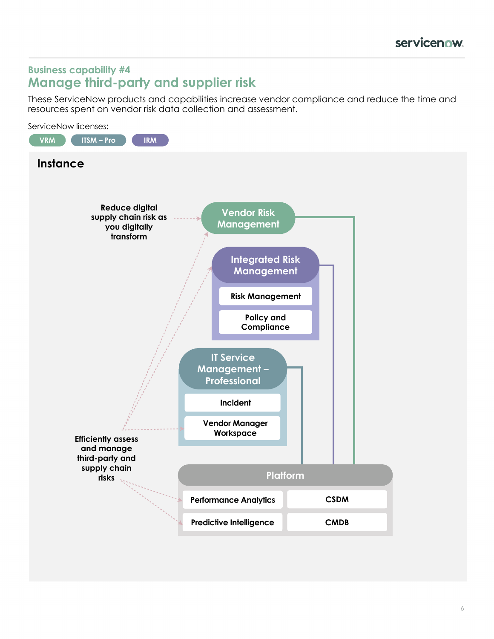#### <span id="page-5-0"></span>**Business capability #4 Manage third-party and supplier risk**

These ServiceNow products and capabilities increase vendor compliance and reduce the time and resources spent on vendor risk data collection and assessment.

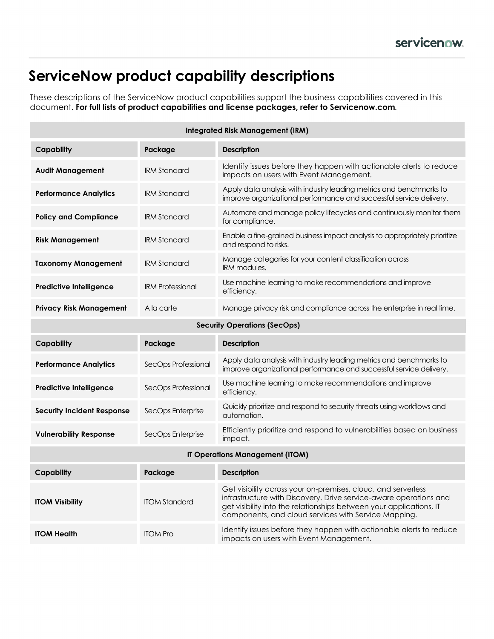## **ServiceNow product capability descriptions**

These descriptions of the ServiceNow product capabilities support the business capabilities covered in this document. **For full lists of product capabilities and license packages, refer to Servicenow.com***.*

| <b>Integrated Risk Management (IRM)</b> |                         |                                                                                                                                                                                                                                                                   |  |  |
|-----------------------------------------|-------------------------|-------------------------------------------------------------------------------------------------------------------------------------------------------------------------------------------------------------------------------------------------------------------|--|--|
| <b>Capability</b>                       | Package                 | <b>Description</b>                                                                                                                                                                                                                                                |  |  |
| <b>Audit Management</b>                 | <b>IRM Standard</b>     | Identify issues before they happen with actionable alerts to reduce<br>impacts on users with Event Management.                                                                                                                                                    |  |  |
| <b>Performance Analytics</b>            | <b>IRM Standard</b>     | Apply data analysis with industry leading metrics and benchmarks to<br>improve organizational performance and successful service delivery.                                                                                                                        |  |  |
| <b>Policy and Compliance</b>            | <b>IRM Standard</b>     | Automate and manage policy lifecycles and continuously monitor them<br>for compliance.                                                                                                                                                                            |  |  |
| <b>Risk Management</b>                  | <b>IRM Standard</b>     | Enable a fine-grained business impact analysis to appropriately prioritize<br>and respond to risks.                                                                                                                                                               |  |  |
| Taxonomy Management                     | <b>IRM Standard</b>     | Manage categories for your content classification across<br><b>IRM</b> modules.                                                                                                                                                                                   |  |  |
| <b>Predictive Intelligence</b>          | <b>IRM Professional</b> | Use machine learning to make recommendations and improve<br>efficiency.                                                                                                                                                                                           |  |  |
| <b>Privacy Risk Management</b>          | A la carte              | Manage privacy risk and compliance across the enterprise in real time.                                                                                                                                                                                            |  |  |
| <b>Security Operations (SecOps)</b>     |                         |                                                                                                                                                                                                                                                                   |  |  |
|                                         |                         |                                                                                                                                                                                                                                                                   |  |  |
| Capability                              | Package                 | <b>Description</b>                                                                                                                                                                                                                                                |  |  |
| <b>Performance Analytics</b>            | SecOps Professional     | Apply data analysis with industry leading metrics and benchmarks to<br>improve organizational performance and successful service delivery.                                                                                                                        |  |  |
| <b>Predictive Intelligence</b>          | SecOps Professional     | Use machine learning to make recommendations and improve<br>efficiency.                                                                                                                                                                                           |  |  |
| <b>Security Incident Response</b>       | SecOps Enterprise       | Quickly prioritize and respond to security threats using workflows and<br>automation.                                                                                                                                                                             |  |  |
| <b>Vulnerability Response</b>           | SecOps Enterprise       | Efficiently prioritize and respond to vulnerabilities based on business<br>impact.                                                                                                                                                                                |  |  |
|                                         |                         | IT Operations Management (ITOM)                                                                                                                                                                                                                                   |  |  |
| <b>Capability</b>                       | Package                 | <b>Description</b>                                                                                                                                                                                                                                                |  |  |
| <b>ITOM Visibility</b>                  | <b>ITOM Standard</b>    | Get visibility across your on-premises, cloud, and serverless<br>infrastructure with Discovery. Drive service-aware operations and<br>get visibility into the relationships between your applications, IT<br>components, and cloud services with Service Mapping. |  |  |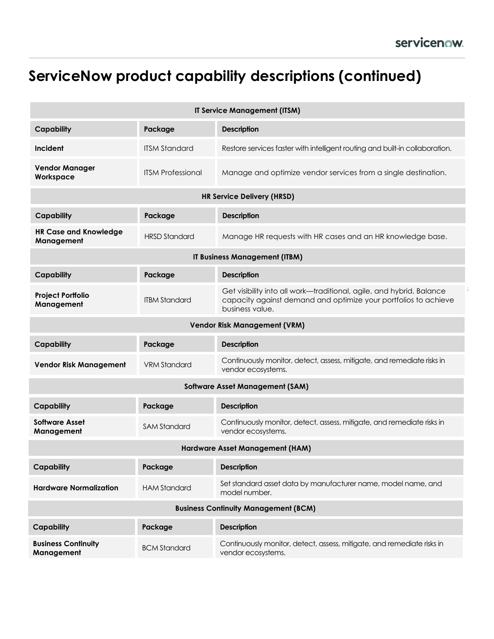## **ServiceNow product capability descriptions (continued)**

| <b>IT Service Management (ITSM)</b>         |                          |                                                                                                                                                            |  |  |
|---------------------------------------------|--------------------------|------------------------------------------------------------------------------------------------------------------------------------------------------------|--|--|
| <b>Capability</b>                           | Package                  | <b>Description</b>                                                                                                                                         |  |  |
| Incident                                    | <b>ITSM Standard</b>     | Restore services faster with intelligent routing and built-in collaboration.                                                                               |  |  |
| <b>Vendor Manager</b><br>Workspace          | <b>ITSM Professional</b> | Manage and optimize vendor services from a single destination.                                                                                             |  |  |
| <b>HR Service Delivery (HRSD)</b>           |                          |                                                                                                                                                            |  |  |
| <b>Capability</b>                           | Package                  | <b>Description</b>                                                                                                                                         |  |  |
| <b>HR Case and Knowledge</b><br>Management  | <b>HRSD Standard</b>     | Manage HR requests with HR cases and an HR knowledge base.                                                                                                 |  |  |
| IT Business Management (ITBM)               |                          |                                                                                                                                                            |  |  |
| Capability                                  | Package                  | <b>Description</b>                                                                                                                                         |  |  |
| <b>Project Portfolio</b><br>Management      | <b>ITBM Standard</b>     | Get visibility into all work-traditional, agile, and hybrid. Balance<br>capacity against demand and optimize your portfolios to achieve<br>business value. |  |  |
| <b>Vendor Risk Management (VRM)</b>         |                          |                                                                                                                                                            |  |  |
| <b>Capability</b>                           | Package                  | <b>Description</b>                                                                                                                                         |  |  |
| <b>Vendor Risk Management</b>               | <b>VRM Standard</b>      | Continuously monitor, detect, assess, mitigate, and remediate risks in<br>vendor ecosystems.                                                               |  |  |
| <b>Software Asset Management (SAM)</b>      |                          |                                                                                                                                                            |  |  |
| <b>Capability</b>                           | Package                  | <b>Description</b>                                                                                                                                         |  |  |
| <b>Software Asset</b><br>Management         | <b>SAM Standard</b>      | Continuously monitor, detect, assess, mitigate, and remediate risks in<br>vendor ecosystems.                                                               |  |  |
| Hardware Asset Management (HAM)             |                          |                                                                                                                                                            |  |  |
| <b>Capability</b>                           | Package                  | <b>Description</b>                                                                                                                                         |  |  |
| <b>Hardware Normalization</b>               | <b>HAM Standard</b>      | Set standard asset data by manufacturer name, model name, and<br>model number.                                                                             |  |  |
| <b>Business Continuity Management (BCM)</b> |                          |                                                                                                                                                            |  |  |
| <b>Capability</b>                           | Package                  | <b>Description</b>                                                                                                                                         |  |  |
| <b>Business Continuity</b><br>Management    | <b>BCM Standard</b>      | Continuously monitor, detect, assess, mitigate, and remediate risks in<br>vendor ecosystems.                                                               |  |  |